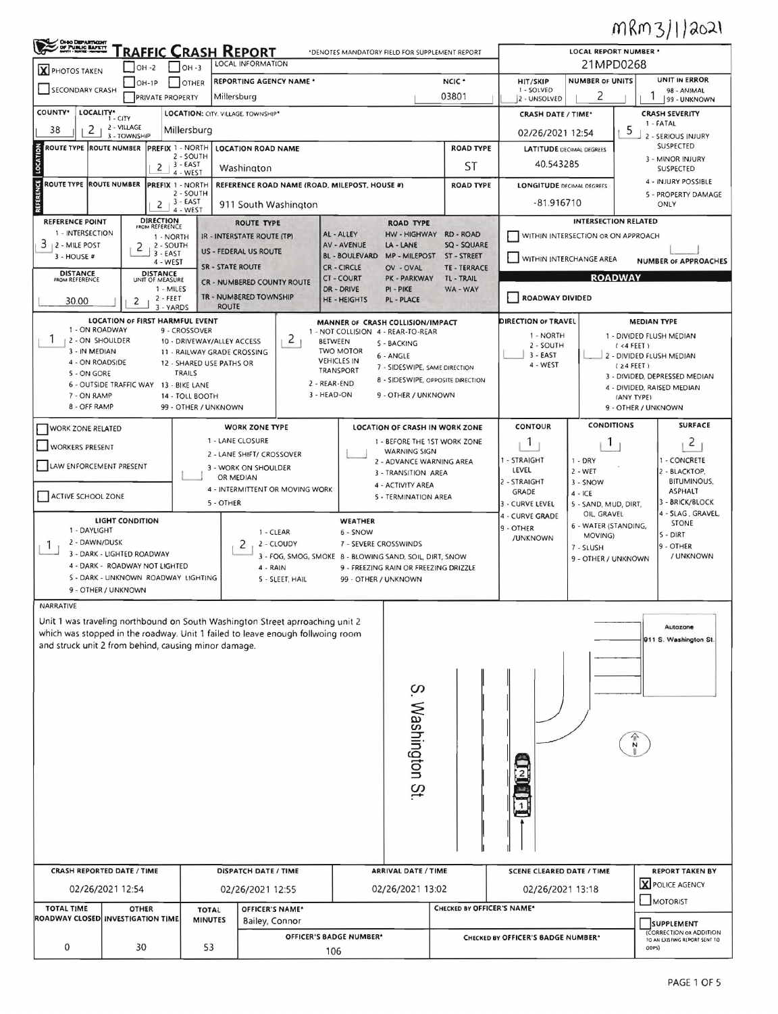## MRM3/1/2021

| <b>OHIO DEPARTMENT</b><br>OF PUBLIC BAFETT<br><b>RAFFIC CRASH REPORT</b><br>*DENOTES MANDATORY FIELD FOR SUPPLEMENT REPORT                                      |                                                                              |                                                 |                                                           |                         |                                                                                                              |                                 |                                        |                                                                |                                                                        |        | LOCAL REPORT NUMBER *                  |                                                                 |                                                  |                                         |                                                             |  |  |
|-----------------------------------------------------------------------------------------------------------------------------------------------------------------|------------------------------------------------------------------------------|-------------------------------------------------|-----------------------------------------------------------|-------------------------|--------------------------------------------------------------------------------------------------------------|---------------------------------|----------------------------------------|----------------------------------------------------------------|------------------------------------------------------------------------|--------|----------------------------------------|-----------------------------------------------------------------|--------------------------------------------------|-----------------------------------------|-------------------------------------------------------------|--|--|
| LOCAL INFORMATION<br>$1$ OH -3<br>$-$ OH -2<br><b>X</b> PHOTOS TAKEN                                                                                            |                                                                              |                                                 |                                                           |                         |                                                                                                              |                                 |                                        |                                                                | 21MPD0268                                                              |        |                                        |                                                                 |                                                  |                                         |                                                             |  |  |
|                                                                                                                                                                 | <b>REPORTING AGENCY NAME *</b><br>$OH-1P$<br>OTHER<br><b>SECONDARY CRASH</b> |                                                 |                                                           |                         |                                                                                                              |                                 |                                        |                                                                |                                                                        | NCIC * | HIT/SKIP<br>1 - SOLVED                 | <b>NUMBER OF UNITS</b><br>2                                     |                                                  | UNIT IN ERROR<br>98 - ANIMAL            |                                                             |  |  |
|                                                                                                                                                                 |                                                                              | <b>PRIVATE PROPERTY</b>                         |                                                           | Millersburg             |                                                                                                              |                                 |                                        |                                                                |                                                                        |        | 03801                                  | 2 - UNSOLVED                                                    | 99 - UNKNOWN                                     |                                         |                                                             |  |  |
| COUNTY <sup>*</sup><br>LOCALITY*<br>LOCATION: CITY. VILLAGE. TOWNSHIP*<br>$1 - CITY$                                                                            |                                                                              |                                                 |                                                           |                         |                                                                                                              |                                 |                                        |                                                                |                                                                        |        |                                        | <b>CRASH SEVERITY</b><br><b>CRASH DATE / TIME*</b><br>1 - FATAL |                                                  |                                         |                                                             |  |  |
| 2 - VILLAGE<br>2<br>38<br>Millersburg<br>3 - TOWNSHIP                                                                                                           |                                                                              |                                                 |                                                           |                         |                                                                                                              |                                 |                                        |                                                                |                                                                        |        |                                        | 5<br>02/26/2021 12:54<br>2 - SERIOUS INJURY                     |                                                  |                                         |                                                             |  |  |
| ROUTE TYPE ROUTE NUMBER<br>PREFIX 1 - NORTH<br><b>LOCATION ROAD NAME</b><br>2 - SOUTH                                                                           |                                                                              |                                                 |                                                           |                         |                                                                                                              |                                 |                                        |                                                                |                                                                        |        | <b>ROAD TYPE</b>                       | SUSPECTED<br><b>LATITUDE DECIMAL DEGREES</b>                    |                                                  |                                         |                                                             |  |  |
| LOCATION                                                                                                                                                        |                                                                              | 2                                               | 3 - EAST<br>4 - WEST                                      |                         | Washington                                                                                                   |                                 |                                        |                                                                |                                                                        |        | ST                                     | 40.543285                                                       | 3 - MINOR INJURY<br><b>SUSPECTED</b>             |                                         |                                                             |  |  |
| ROUTE TYPE ROUTE NUMBER                                                                                                                                         |                                                                              |                                                 | <b>PREFIX 1 - NORTH</b>                                   |                         |                                                                                                              |                                 |                                        | REFERENCE ROAD NAME (ROAD, MILEPOST, HOUSE #)                  |                                                                        |        | <b>ROAD TYPE</b>                       | <b>LONGITUDE DECIMAL DEGREES</b>                                |                                                  |                                         | 4 - INJURY POSSIBLE                                         |  |  |
| REFERENCE                                                                                                                                                       |                                                                              |                                                 | 2 - SOUTH<br>$2 + 3 - EAST$                               |                         |                                                                                                              | 911 South Washington            |                                        |                                                                |                                                                        |        |                                        |                                                                 | 5 - PROPERTY DAMAGE<br>$-81.916710$<br>ONLY      |                                         |                                                             |  |  |
| <b>REFERENCE POINT</b>                                                                                                                                          |                                                                              |                                                 | 4 - WEST                                                  |                         |                                                                                                              |                                 |                                        |                                                                |                                                                        |        |                                        |                                                                 | <b>INTERSECTION RELATED</b>                      |                                         |                                                             |  |  |
| 1 - INTERSECTION                                                                                                                                                |                                                                              | <b>DIRECTION</b><br>FROM REFERENCE<br>1 - NORTH |                                                           |                         | <b>ROUTE TYPE</b><br>IR - INTERSTATE ROUTE (TP)                                                              |                                 |                                        | AL - ALLEY                                                     | <b>ROAD TYPE</b><br><b>HW - HIGHWAY</b>                                |        | RD - ROAD                              |                                                                 |                                                  |                                         |                                                             |  |  |
| 3<br>2 - MILE POST                                                                                                                                              | 2                                                                            | 2 - SOUTH<br>$3 - EAST$                         |                                                           |                         | <b>US - FEDERAL US ROUTE</b>                                                                                 |                                 |                                        | <b>AV - AVENUE</b><br><b>BL-BOULEVARD</b>                      | LA - LANE<br><b>MP - MILEPOST</b>                                      |        | <b>SQ - SQUARE</b><br><b>ST-STREET</b> | WITHIN INTERSECTION OR ON APPROACH                              |                                                  |                                         |                                                             |  |  |
| $3 - HOUSE#$                                                                                                                                                    |                                                                              | 4 - WEST                                        |                                                           | <b>SR - STATE ROUTE</b> |                                                                                                              |                                 |                                        | <b>CR-CIRCLE</b>                                               | OV - OVAL                                                              |        | <b>TE - TERRACE</b>                    | WITHIN INTERCHANGE AREA                                         |                                                  |                                         | <b>NUMBER OF APPROACHES</b>                                 |  |  |
| <b>DISTANCE</b><br>FROM REFERENCE                                                                                                                               |                                                                              | <b>DISTANCE</b><br>UNIT OF MEASURE<br>1 - MILES |                                                           |                         | <b>CR - NUMBERED COUNTY ROUTE</b>                                                                            |                                 |                                        | <b>CT-COURT</b><br>DR - DRIVE                                  | PK - PARKWAY<br>PI - PIKE                                              |        | <b>TL-TRAIL</b><br>WA - WAY            |                                                                 |                                                  | <b>ROADWAY</b>                          |                                                             |  |  |
| 30.00                                                                                                                                                           | 2                                                                            | $2 - FEET$                                      |                                                           |                         | TR - NUMBERED TOWNSHIP                                                                                       |                                 |                                        | HE - HEIGHTS                                                   | <b>PL - PLACE</b>                                                      |        |                                        | <b>ROADWAY DIVIDED</b>                                          |                                                  |                                         |                                                             |  |  |
|                                                                                                                                                                 | LOCATION OF FIRST HARMFUL EVENT                                              | 3 - YARDS                                       |                                                           | <b>ROUTE</b>            |                                                                                                              |                                 |                                        |                                                                |                                                                        |        |                                        | <b>DIRECTION OF TRAVEL</b>                                      |                                                  |                                         | <b>MEDIAN TYPE</b>                                          |  |  |
| 1 - ON ROADWAY                                                                                                                                                  |                                                                              |                                                 | 9 - CROSSOVER                                             |                         |                                                                                                              |                                 |                                        |                                                                | MANNER OF CRASH COLLISION/IMPACT<br>1 - NOT COLLISION 4 - REAR-TO-REAR |        |                                        | 1 - NORTH                                                       |                                                  |                                         | 1 - DIVIDED FLUSH MEDIAN                                    |  |  |
| J.<br>2 - ON SHOULDER<br>3 - IN MEDIAN                                                                                                                          |                                                                              |                                                 | 10 - DRIVEWAY/ALLEY ACCESS<br>11 - RAILWAY GRADE CROSSING |                         |                                                                                                              | 2                               | <b>BETWEEN</b>                         | <b>TWO MOTOR</b>                                               | 5 - BACKING                                                            |        |                                        | 2 - SOUTH                                                       |                                                  | (4 FEE)                                 |                                                             |  |  |
| 4 - ON ROADSIDE                                                                                                                                                 |                                                                              |                                                 | 12 - SHARED USE PATHS OR                                  |                         |                                                                                                              |                                 | <b>VEHICLES IN</b><br><b>TRANSPORT</b> |                                                                | 6 - ANGLE<br>7 - SIDESWIPE, SAME DIRECTION                             |        |                                        | $3 - EAST$<br>4 - WEST                                          |                                                  | 2 - DIVIDED FLUSH MEDIAN<br>$(24$ FEET) |                                                             |  |  |
| 5 - ON GORE                                                                                                                                                     | 6 - OUTSIDE TRAFFIC WAY 13 - BIKE LANE                                       |                                                 | <b>TRAILS</b>                                             |                         |                                                                                                              |                                 | 2 - REAR-END                           |                                                                | 8 - SIDESWIPE, OPPOSITE DIRECTION                                      |        |                                        |                                                                 |                                                  |                                         | 3 - DIVIDED, DEPRESSED MEDIAN<br>4 - DIVIDED, RAISED MEDIAN |  |  |
| 7 - ON RAMP                                                                                                                                                     |                                                                              |                                                 | 14 - TOLL BOOTH                                           |                         |                                                                                                              |                                 | 3 - HEAD-ON                            |                                                                | 9 - OTHER / UNKNOWN                                                    |        |                                        |                                                                 |                                                  | (ANY TYPE)                              |                                                             |  |  |
| 8 - OFF RAMP                                                                                                                                                    |                                                                              |                                                 | 99 - OTHER / UNKNOWN                                      |                         |                                                                                                              |                                 |                                        |                                                                |                                                                        |        |                                        |                                                                 |                                                  |                                         | 9 - OTHER / UNKNOWN                                         |  |  |
| <b>WORK ZONE RELATED</b>                                                                                                                                        |                                                                              |                                                 |                                                           |                         | <b>WORK ZONE TYPE</b>                                                                                        |                                 |                                        |                                                                | <b>LOCATION OF CRASH IN WORK ZONE</b>                                  |        |                                        | <b>CONTOUR</b>                                                  | <b>CONDITIONS</b>                                |                                         | <b>SURFACE</b>                                              |  |  |
| <b>WORKERS PRESENT</b>                                                                                                                                          |                                                                              |                                                 |                                                           |                         | 1 - LANE CLOSURE<br>2 - LANE SHIFT/ CROSSOVER                                                                |                                 |                                        | 1 - BEFORE THE 1ST WORK ZONE<br>1<br>Т.<br><b>WARNING SIGN</b> |                                                                        |        |                                        |                                                                 |                                                  |                                         | 2                                                           |  |  |
| LAW ENFORCEMENT PRESENT                                                                                                                                         |                                                                              |                                                 |                                                           |                         | 3 - WORK ON SHOULDER                                                                                         |                                 |                                        |                                                                | 2 - ADVANCE WARNING AREA                                               |        |                                        | 1 - STRAIGHT<br>LEVEL                                           | $1 - DRY$<br>$2 - WET$                           |                                         | 1 - CONCRETE<br>2 - BLACKTOP,                               |  |  |
|                                                                                                                                                                 |                                                                              |                                                 |                                                           |                         | OR MEDIAN                                                                                                    |                                 |                                        |                                                                | 3 - TRANSITION AREA<br>4 - ACTIVITY AREA                               |        |                                        | 2 - STRAIGHT                                                    | 3 - SNOW                                         |                                         | <b>BITUMINOUS,</b>                                          |  |  |
| ACTIVE SCHOOL ZONE                                                                                                                                              |                                                                              |                                                 |                                                           | 5 - OTHER               |                                                                                                              | 4 - INTERMITTENT OR MOVING WORK |                                        |                                                                | 5 - TERMINATION AREA                                                   |        |                                        | <b>GRADE</b><br>3 - CURVE LEVEL                                 | $4 - ICE$                                        |                                         | <b>ASPHALT</b><br>3 - BRICK/BLOCK                           |  |  |
|                                                                                                                                                                 |                                                                              |                                                 |                                                           |                         |                                                                                                              |                                 |                                        |                                                                |                                                                        |        |                                        | 4 - CURVE GRADE                                                 | 5 - SAND, MUD, DIRT,<br>OIL, GRAVEL              |                                         | 4 - SLAG, GRAVEL,                                           |  |  |
| 1 - DAYLIGHT                                                                                                                                                    | LIGHT CONDITION                                                              |                                                 |                                                           |                         | 1 - CLEAR                                                                                                    |                                 |                                        | <b>WEATHER</b><br>6 - SNOW                                     |                                                                        |        |                                        | 9 - OTHER                                                       | <b>STONE</b><br>6 - WATER (STANDING,<br>S - DIRT |                                         |                                                             |  |  |
| 2 - DAWN/DUSK<br>1                                                                                                                                              |                                                                              |                                                 |                                                           |                         | 2                                                                                                            | 2 - CLOUDY                      |                                        | 7 - SEVERE CROSSWINDS                                          |                                                                        |        |                                        | /UNKNOWN                                                        | MOVING)<br>7 - SLUSH                             |                                         | 9 - OTHER                                                   |  |  |
|                                                                                                                                                                 | 3 - DARK - LIGHTED ROADWAY<br>4 - DARK - ROADWAY NOT LIGHTED                 |                                                 |                                                           |                         | 3 - FOG, SMOG, SMOKE 8 - BLOWING SAND, SOIL, DIRT, SNOW<br>4 - RAIN<br>9 - FREEZING RAIN OR FREEZING DRIZZLE |                                 |                                        |                                                                |                                                                        |        |                                        | 9 - OTHER / UNKNOWN                                             |                                                  | / UNKNOWN                               |                                                             |  |  |
|                                                                                                                                                                 | 5 - DARK - UNKNOWN ROADWAY LIGHTING                                          |                                                 |                                                           |                         |                                                                                                              | 5 - SLEET, HAIL                 |                                        | 99 - OTHER / UNKNOWN                                           |                                                                        |        |                                        |                                                                 |                                                  |                                         |                                                             |  |  |
|                                                                                                                                                                 | 9 - OTHER / UNKNOWN                                                          |                                                 |                                                           |                         |                                                                                                              |                                 |                                        |                                                                |                                                                        |        |                                        |                                                                 |                                                  |                                         |                                                             |  |  |
| NARRATIVE                                                                                                                                                       |                                                                              |                                                 |                                                           |                         |                                                                                                              |                                 |                                        |                                                                |                                                                        |        |                                        |                                                                 |                                                  |                                         |                                                             |  |  |
| Unit 1 was traveling northbound on South Washington Street aprroaching unit 2<br>which was stopped in the roadway. Unit 1 failed to leave enough follwoing room |                                                                              |                                                 |                                                           |                         |                                                                                                              |                                 |                                        |                                                                |                                                                        |        |                                        |                                                                 |                                                  |                                         | Autozone                                                    |  |  |
| and struck unit 2 from behind, causing minor damage.                                                                                                            |                                                                              |                                                 |                                                           |                         |                                                                                                              |                                 |                                        |                                                                |                                                                        |        |                                        |                                                                 |                                                  |                                         | 911 S. Washington St.                                       |  |  |
|                                                                                                                                                                 |                                                                              |                                                 |                                                           |                         |                                                                                                              |                                 |                                        |                                                                |                                                                        |        |                                        |                                                                 |                                                  |                                         |                                                             |  |  |
|                                                                                                                                                                 |                                                                              |                                                 |                                                           |                         |                                                                                                              |                                 |                                        |                                                                |                                                                        |        |                                        |                                                                 |                                                  |                                         |                                                             |  |  |
|                                                                                                                                                                 |                                                                              |                                                 |                                                           |                         |                                                                                                              |                                 |                                        |                                                                |                                                                        |        |                                        |                                                                 |                                                  |                                         |                                                             |  |  |
|                                                                                                                                                                 |                                                                              |                                                 |                                                           |                         |                                                                                                              |                                 |                                        |                                                                |                                                                        |        |                                        |                                                                 |                                                  |                                         |                                                             |  |  |
|                                                                                                                                                                 |                                                                              |                                                 |                                                           |                         |                                                                                                              |                                 |                                        |                                                                |                                                                        |        |                                        |                                                                 |                                                  |                                         |                                                             |  |  |
|                                                                                                                                                                 |                                                                              |                                                 |                                                           |                         |                                                                                                              |                                 |                                        |                                                                |                                                                        |        |                                        |                                                                 |                                                  |                                         |                                                             |  |  |
|                                                                                                                                                                 |                                                                              |                                                 |                                                           |                         |                                                                                                              |                                 |                                        |                                                                |                                                                        |        |                                        |                                                                 |                                                  |                                         |                                                             |  |  |
|                                                                                                                                                                 |                                                                              |                                                 |                                                           |                         |                                                                                                              |                                 |                                        |                                                                |                                                                        |        |                                        |                                                                 |                                                  |                                         |                                                             |  |  |
| S. Washington St.                                                                                                                                               |                                                                              |                                                 |                                                           |                         |                                                                                                              |                                 |                                        |                                                                |                                                                        |        |                                        |                                                                 |                                                  |                                         |                                                             |  |  |
|                                                                                                                                                                 |                                                                              |                                                 |                                                           |                         |                                                                                                              |                                 |                                        |                                                                |                                                                        |        |                                        |                                                                 |                                                  |                                         |                                                             |  |  |
|                                                                                                                                                                 |                                                                              |                                                 |                                                           |                         |                                                                                                              |                                 |                                        |                                                                |                                                                        |        |                                        |                                                                 |                                                  |                                         |                                                             |  |  |
|                                                                                                                                                                 |                                                                              |                                                 |                                                           |                         |                                                                                                              |                                 |                                        |                                                                |                                                                        |        |                                        |                                                                 |                                                  |                                         |                                                             |  |  |
|                                                                                                                                                                 |                                                                              |                                                 |                                                           |                         |                                                                                                              |                                 |                                        |                                                                |                                                                        |        |                                        |                                                                 |                                                  |                                         |                                                             |  |  |
| <b>CRASH REPORTED DATE / TIME</b>                                                                                                                               |                                                                              |                                                 |                                                           |                         | DISPATCH DATE / TIME                                                                                         |                                 |                                        |                                                                | <b>ARRIVAL DATE / TIME</b>                                             |        |                                        | <b>SCENE CLEARED DATE / TIME</b>                                |                                                  |                                         | <b>REPORT TAKEN BY</b><br><b>X</b> POLICE AGENCY            |  |  |
|                                                                                                                                                                 | 02/26/2021 12:54                                                             |                                                 |                                                           |                         | 02/26/2021 12:55                                                                                             |                                 |                                        |                                                                | 02/26/2021 13:02                                                       |        |                                        | 02/26/2021 13:18                                                |                                                  |                                         | MOTORIST                                                    |  |  |
| <b>TOTAL TIME</b>                                                                                                                                               | <b>OTHER</b>                                                                 |                                                 |                                                           | <b>TOTAL</b>            | OFFICER'S NAME*                                                                                              |                                 |                                        |                                                                |                                                                        |        | CHECKED BY OFFICER'S NAME*             |                                                                 |                                                  |                                         |                                                             |  |  |
| ROADWAY CLOSED INVESTIGATION TIME                                                                                                                               |                                                                              |                                                 |                                                           | <b>MINUTES</b>          | Bailey, Connor                                                                                               |                                 |                                        |                                                                |                                                                        |        |                                        |                                                                 |                                                  |                                         | <b>SUPPLEMENT</b><br>(CORRECTION OR ADDITION                |  |  |
| 0                                                                                                                                                               | 30                                                                           |                                                 |                                                           | 53                      |                                                                                                              | OFFICER'S BADGE NUMBER*<br>106  |                                        |                                                                |                                                                        |        |                                        | CHECKED BY OFFICER'S BADGE NUMBER*<br>ODPS)                     |                                                  |                                         | TO AN EXISTING REPORT SENT TO                               |  |  |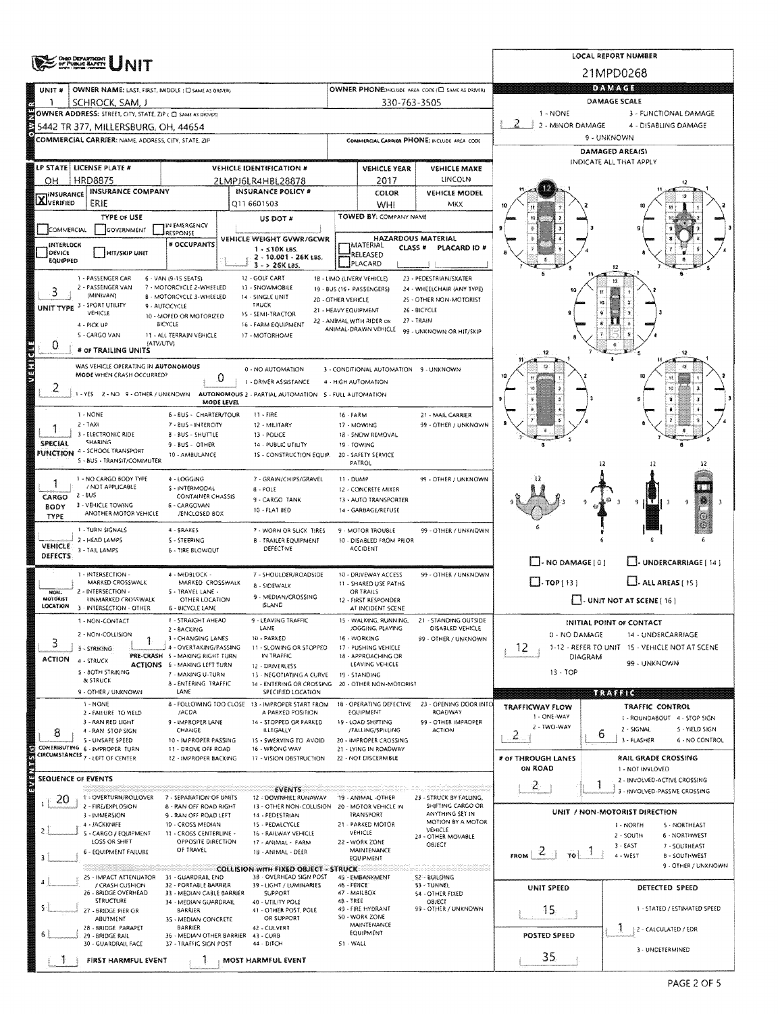|                           | <b>OHIO DEPARTMENT</b><br>OF PUBLIC BAFETY                                     |                                                           | LOCAL REPORT NUMBER                                                    |                           |                                                         |                                                      |                                                                  |               |                                                          |  |  |  |
|---------------------------|--------------------------------------------------------------------------------|-----------------------------------------------------------|------------------------------------------------------------------------|---------------------------|---------------------------------------------------------|------------------------------------------------------|------------------------------------------------------------------|---------------|----------------------------------------------------------|--|--|--|
|                           |                                                                                |                                                           |                                                                        |                           |                                                         |                                                      |                                                                  | 21MPD0268     |                                                          |  |  |  |
| UNIT <sup>#</sup>         | OWNER NAME: LAST, FIRST, MIDDLE : C SAME AS DRIVER)                            |                                                           |                                                                        |                           |                                                         | OWNER PHONE:INCLUDE AREA CODE (C) SAME AS DRIVER)    |                                                                  | <b>DAMAGE</b> |                                                          |  |  |  |
|                           | SCHROCK, SAM, J<br>OWNER ADDRESS: STREET, CITY, STATE, ZIP ( C SAME AS DRIVER) |                                                           |                                                                        |                           | 330-763-3505                                            |                                                      | 1 - NONE                                                         | DAMAGE SCALE  | 3 - FUNCTIONAL DAMAGE                                    |  |  |  |
|                           | 5442 TR 377, MILLERSBURG, OH, 44654                                            |                                                           |                                                                        |                           |                                                         |                                                      | 2 - MINOR DAMAGE                                                 |               | 4 - DISABLING DAMAGE                                     |  |  |  |
|                           | COMMERCIAL CARRIER: NAME, ADORESS, CITY, STATE, ZIP                            |                                                           |                                                                        |                           |                                                         | COMMIRCIAL CARRIER PHONE: INCLUDE AREA CODE          |                                                                  | 9 - UNKNOWN   |                                                          |  |  |  |
|                           |                                                                                |                                                           |                                                                        |                           |                                                         | DAMAGED AREA(S)<br>INDICATE ALL THAT APPLY           |                                                                  |               |                                                          |  |  |  |
|                           | LP STATE   LICENSE PLATE #                                                     |                                                           | <b>VEHICLE IDENTIFICATION #</b>                                        |                           | VEHICLE YEAR                                            | VEHICLE MAKE<br>LINCOLN                              |                                                                  |               |                                                          |  |  |  |
| он                        | <b>HRD8875</b><br><b>INSURANCE COMPANY</b>                                     |                                                           | 2LMPJ6LR4HBL28878<br><b>INSURANCE POLICY #</b>                         |                           | 2017<br>COLOR                                           | <b>VEHICLE MODEL</b>                                 |                                                                  |               |                                                          |  |  |  |
| <b>X</b> INSURANCE        | ERIE                                                                           |                                                           | Q11 6601503                                                            |                           | WHI.                                                    | MKX                                                  |                                                                  |               |                                                          |  |  |  |
|                           | <b>TYPE OF USE</b>                                                             | IN EMERGENCY                                              | US DOT #                                                               |                           | TOWED BY: COMPANY NAME                                  |                                                      |                                                                  |               |                                                          |  |  |  |
| COMMERCIAL                | GOVERNMENT                                                                     | RESPONSE<br># OCCUPANTS                                   | VEHICLE WEIGHT GVWR/GCWR                                               |                           | <b>HAZARDOUS MATERIAL</b>                               |                                                      |                                                                  |               |                                                          |  |  |  |
| INTERLOCK<br>DEVICE       | <b>HIT/SKIP UNIT</b>                                                           |                                                           | $1 - 510K$ LBS.<br>2 - 10.001 - 26K LBS.                               |                           | IMATERIAL<br>CLASS #<br>RELEASED                        | PLACARD ID #                                         |                                                                  |               |                                                          |  |  |  |
| EQUIPPED                  |                                                                                |                                                           | $3 - 26K185$                                                           |                           | PLACARD                                                 |                                                      |                                                                  |               |                                                          |  |  |  |
| 3                         | 1 - PASSENGER CAR<br>2 - PASSENGER VAN                                         | 6 - VAN (9-15 SEATS)<br>7 - MOTORCYCLE 2-WHEELED          | 12 - GOLF CART<br>13 - SNOWMOBILE                                      |                           | 18 - LIMO (LIVERY VEHICLE)<br>19 - BUS (16+ PASSENGERS) | 23 - PEDESTRIAN/SKATER<br>24 - WHEELCHAIR (ANY TYPE) |                                                                  |               |                                                          |  |  |  |
| <b>UNIT TYPE</b>          | (MINIVAN)<br>3 - SPORT UTILITY                                                 | B - MOTORCYCLE 3-WHEELED<br>9 - AUTOCYCLE                 | 14 - SINGLE UNIT<br><b>TRUCK</b>                                       | <b>20 - OTHER VEHICLE</b> |                                                         | 25 - OTHER NON-MOTORIST                              |                                                                  | 'n0           |                                                          |  |  |  |
|                           | VEHICLE                                                                        | 10 - MOPED OR MOTORIZED                                   | 15 - SEMI-TRACTOR                                                      | 21 - HEAVY EQUIPMENT      | 22 - ANIMAL WITH RIDER OR                               | 26 - BICYCLE<br>27 - TRAIN                           |                                                                  |               |                                                          |  |  |  |
|                           | 4 - PICK UP<br>5 - CARGO VAN                                                   | <b>BICYCLE</b><br>11 - ALL TERRAIN VEHICLE                | 16 - FARM EQUIPMENT<br>17 - MOTORHOME                                  |                           | ANIMAL-DRAWN VEHICLE                                    | 99 - UNKNOWN OR HIT/SKIP                             |                                                                  |               |                                                          |  |  |  |
| 0                         | (ATV/UTV)<br># OF TRAILING UNITS                                               |                                                           |                                                                        |                           |                                                         |                                                      |                                                                  |               |                                                          |  |  |  |
| <b>TESTING</b>            | WAS VEHICLE OPERATING IN AUTONOMOUS                                            |                                                           | 0 - NO AUTOMATION                                                      |                           | 3 - CONDITIONAL AUTOMATION 9 - UNKNOWN                  |                                                      |                                                                  |               |                                                          |  |  |  |
|                           | MODE WHEN CRASH OCCURRED?                                                      | 0                                                         | 1 - DRIVER ASSISTANCE                                                  |                           | 4 - HIGH AUTOMATION                                     |                                                      |                                                                  |               |                                                          |  |  |  |
|                           | 1 - YES 2 - NO 9 - OTHER / UNKNOWN                                             | MODE LEVEL                                                | AUTONOMOUS 2 - PARTIAL AUTOMATION 5 - FULL AUTOMATION                  |                           |                                                         |                                                      |                                                                  |               | 10                                                       |  |  |  |
|                           | 1 - NONE                                                                       | 6 - BUS - CHARTER/TOUR                                    | $11 - FIRE$                                                            | 16 - FARM                 |                                                         | 21 - MAIL CARRIER                                    |                                                                  |               |                                                          |  |  |  |
|                           | $2 - TAXI$<br>3 - ELECTRONIC RIDE                                              | 7 - BUS - INTERCITY                                       | 12 - MILITARY                                                          |                           | 17 - MOWING                                             | 99 - OTHER / UNKNOWN                                 |                                                                  |               |                                                          |  |  |  |
| SPECIAL                   | <b><i>SHARING</i></b>                                                          | <b>B-BUS-SHUTTLE</b><br>9 - BUS - OTHER                   | 13 - POLICE<br>14 - PUBLIC UTILITY                                     |                           | 18 - SNOW REMOVAL<br>19 - TOWING                        |                                                      |                                                                  |               |                                                          |  |  |  |
|                           | <b>FUNCTION</b> 4 - SCHOOL TRANSPORT<br>S - BUS - TRANSIT/COMMUTER             | 10 - AMBULANCE                                            | 15 - CONSTRUCTION EQUIP.                                               |                           | 20 - SAFETY SERVICE<br>PATROL                           |                                                      |                                                                  | 12            |                                                          |  |  |  |
|                           | 1 - NO CARGO BODY TYPE                                                         | 4 - LOGGING                                               | 7 - GRAIN/CHIPS/GRAVEL                                                 | 11 - DUMP                 |                                                         | 99 - OTHER / UNKNOWN                                 |                                                                  |               |                                                          |  |  |  |
| CARGO                     | / NOT APPLICABLE<br>2 - 8US                                                    | S - INTERMODAL<br><b>CONTAINER CHASSIS</b>                | $8 - POLE$                                                             |                           | 12 - CONCRETE MIXER                                     |                                                      |                                                                  |               |                                                          |  |  |  |
| BODY                      | 3 - VEHICLE TOWING<br>ANOTHER MOTOR VEHICLE                                    | 6 - CARGOVAN                                              | 9 - CARGO TANK<br>10 - FLAT 8ED                                        |                           | 13 - AUTO TRANSPORTER<br>14 - GARBAGE/REFUSE            |                                                      |                                                                  |               | 9                                                        |  |  |  |
| TYPE                      | 1 - TURN SIGNALS                                                               | /ENCLOSED BOX<br>4 - SRAKES                               |                                                                        |                           |                                                         |                                                      |                                                                  |               |                                                          |  |  |  |
|                           | 2 - HEAD LAMPS                                                                 | 5 - STEERING                                              | 7 - WORN OR SLICK TIRES<br><b>B - TRAILER EQUIPMENT</b>                |                           | 9 - MOTOR TROUBLE<br>10 - DISABLED FROM PRIOR           | 99 - OTHER / UNKNOWN                                 |                                                                  |               |                                                          |  |  |  |
| <b>VEHICLE</b><br>DEFECTS | 3 - TAIL LAMPS                                                                 | 6 - TIRE BLOWQUT                                          | DEFECTIVE                                                              |                           | <b>ACCIDENT</b>                                         |                                                      | - NO DAMAGE [ 0 ]                                                |               | J-UNDERCARRIAGE   14                                     |  |  |  |
|                           | 1 - INTERSECTION -                                                             | 4 - MIDBLOCK -                                            | 7 - SHOULDER/ROADSIDE                                                  |                           | 10 - DRIVEWAY ACCESS                                    | 99 - OTHER / UNKNOWN                                 |                                                                  |               |                                                          |  |  |  |
| HON-                      | MARKED CROSSWALK<br>2 - INTERSECTION -                                         | MARKED CROSSWALK<br>S - TRAVEL LANE -                     | 8 - SIDEWALK                                                           |                           | 11 - SHARED USE PATHS<br>OR TRAILS                      |                                                      | $\Box$ -TOP(13)                                                  |               | $\Box$ . ALL AREAS (15)                                  |  |  |  |
| MOTORIST<br>LOCATION      | <b>UNMARKED CROSSWALK</b><br>3 - INTERSECTION - OTHER                          | OTHER LOCATION<br>6 - BICYCLE LANE                        | 9 - MEDIAN/CROSSING<br><b>ISLAND</b>                                   |                           | 12 - FIRST RESPONDER<br>AT INCIDENT SCENE               |                                                      |                                                                  |               | $\left  \cdot \right $ UNIT NOT AT SCENE [ 16 ]          |  |  |  |
|                           | I - NON-CONTACT                                                                | 1 - STRAIGHT AHEAD                                        | 9 - LEAVING TRAFFIC                                                    |                           | 15 - WALKING, RUNNING,                                  | 21 - STANDING OUTSIDE                                |                                                                  |               | INITIAL POINT OF CONTACT                                 |  |  |  |
| З.                        | 2 - NON-COLLISION                                                              | 2 - BACKING<br>3 - CHANGING LANES                         | LANE<br>10 - PARKED                                                    |                           | JOGGING, PLAYING<br>16 - WORKING                        | DISABLED VEHICLE<br>99 - OTHER / UNKNOWN             | 0 - NO DAMAGE                                                    |               | 14 - UNDERCARRIAGE                                       |  |  |  |
| <b>ACTION</b>             | 3 - STRIKING                                                                   | 4 - OVERTAKING/PASSING<br>PRE-CRASH 5 - MAKING RIGHT TURN | 11 - SLOWING OR STOPPED<br>IN TRAFFIC                                  |                           | 17 - PUSHING VEHICLE<br>18 - APPROACHING OR             |                                                      | 12.<br>1-12 - REFER TO UNIT 15 - VEHICLE NOT AT SCENE<br>DIAGRAM |               |                                                          |  |  |  |
|                           | 4 - STRUCK<br>S - 80TH STRIKING                                                | <b>ACTIONS</b> 6 - MAKING LEFT TURN<br>7 - MAKING U-TURN  | 12 - DRIVERLESS<br>13 - NEGOTIATING A CURVE                            |                           | LEAVING VEHICLE<br>19 - STANDING                        |                                                      | $13 - TOP$                                                       |               | 99 - UNKNOWN                                             |  |  |  |
|                           | & STRUCK                                                                       | 8 - ENTERING TRAFFIC                                      | 14 - ENTERING OR CROSSING                                              |                           | 20 - OTHER NON-MOTORIST                                 |                                                      | <u>Miliana</u>                                                   |               |                                                          |  |  |  |
|                           | 9 - OTHER / UNKNOWN<br>1 - NONE                                                | LANE                                                      | SPECIFIED LOCATION<br>8 - FOLLOWING TOO CLOSE 13 - IMPROPER START FROM |                           | 18 - OPERATING DEFECTIVE                                | 23 - OPENING DOOR INTO                               | <b>TRAFFICWAY FLOW</b>                                           |               | TRAFFIC CONTROL                                          |  |  |  |
|                           | 2 - FAILURE TO VIELD<br>3 - RAN RED LIGHT                                      | /ACDA<br>9 - IMPROPER LANE                                | A PARKED POSITION<br>14 - STOPPED OR PARKED                            |                           | EQUIPMENT<br><b>19 - LOAD SHIFTING</b>                  | ROADWAY<br>99 - OTHER IMPROPER                       | 1 - ONE-WAY                                                      |               | I - ROUNDABOUT 4 - STOP SIGN                             |  |  |  |
| 8                         | 4 - RAN STOP SIGN                                                              | CHANGE                                                    | <b>ILLEGALLY</b>                                                       |                           | /FALLING/SPILLING                                       | <b>ACTION</b>                                        | 2 - TWO-WAY<br>2                                                 | 6             | 2 - SIGNAL<br>S - YIELD SIGN                             |  |  |  |
|                           | S - UNSAFE SPEED<br>CONTRIBUTING 6 MAPROPER TURN                               | 10 - IMPROPER PASSING<br>11 - DROVE OFF ROAD              | 15 - SWERVING TO AVOID<br>16 - WRONG WAY                               |                           | 20 - IMPROPER CROSSING<br>21 - LYING IN ROADWAY         |                                                      |                                                                  |               | 3 - FLASHER<br>6 - NO CONTROL                            |  |  |  |
|                           | CIRCUMSTANCES 7 - LEFT OF CENTER                                               | 12 - IMPROPER BACKING                                     | 17 - VISION OBSTRUCTION                                                |                           | 22 - NOT DISCERNIBLE                                    |                                                      | # of THROUGH LANES<br>ON ROAD                                    |               | RAIL GRADE CROSSING<br>1 - NOT INVLOVED                  |  |  |  |
| <b>SEQUENCE OF EVENTS</b> |                                                                                |                                                           |                                                                        |                           |                                                         |                                                      | $\overline{c}$                                                   | 1             | 2 - INVOLVED-ACTIVE CROSSING                             |  |  |  |
| 20                        | 1 - OVERTURN/ROLLOVER                                                          | 7 - SEPARATION OF UNITS                                   | <b>EVENTS</b><br>12 - DOWNHEL RUNAWAY                                  |                           | 19 - ANIMAL -OTHER                                      | 23 - STRUCK BY FALLING,                              |                                                                  |               | 3 - INVOLVED-PASSIVE CROSSING                            |  |  |  |
|                           | 2 - FIRE/EXPLOSION<br>3 - IMMERSION                                            | 8 - RAN OFF ROAD RIGHT<br>9 - RAN OFF ROAD LEFT           | 13 - OTHER NON-COLLISION<br>14 - PEDESTRIAN                            |                           | 20 - MOTOR VEHICLE IN<br>TRANSPORT                      | SHIFTING CARGO OR<br>ANYTHING SET IN                 |                                                                  |               | UNIT / NON-MOTORIST DIRECTION                            |  |  |  |
|                           | 4 - JACKKNIFE<br>S - CARGO / EQUIPMENT                                         | 10 - CROSS MEDIAN<br>11 - CROSS CENTERLINE -              | 15 - PEDALCYCLE<br>16 - RAILWAY VEHICLE                                |                           | 21 - PARKED MOTOR<br>VEHICLE                            | MOTION BY A MOTOR<br>VEHICLE                         |                                                                  |               | 1 - NORTH<br>5 - NORTHEAST<br>2 - SOUTH<br>6 - NORTHWEST |  |  |  |
|                           | LOSS OR SHIFT                                                                  | OPPOSITE DIRECTION<br>OF TRAVEL                           | 17 - ANIMAL - FARM                                                     |                           | 22 - WORK ZONE<br>MAINTENANCE                           | 24 - OTHER MOVABLE<br><b>OBJECT</b>                  |                                                                  |               | $3 - EAST$<br>7 - SOUTHEAST                              |  |  |  |
|                           | 6 - EQUIPMENT FAILURE                                                          |                                                           | 18 - ANIMAL - DEER                                                     |                           | EQUIPMENT                                               |                                                      | FROM $21$<br>To!                                                 |               | 4 - WEST<br><b>B-SOUTHWEST</b><br>9 - OTHER / UNKNOWN    |  |  |  |
|                           | 25 - IMPACT ATTENUATOR                                                         | 31 - GUARDRAIL END                                        | <b>COLLISION WITH FIXED OBJECT - STRUCK</b><br>38 - OVERHEAD SIGN POST |                           | 45 - EMBANKMENT                                         | S2-BUILDING                                          |                                                                  |               |                                                          |  |  |  |
|                           | / CRASH CUSHION<br>26 - BRIDGE OVERHEAD                                        | 32 - PORTABLE BARRIER<br>33 - MEDIAN CABLE BARRIER        | 39 - LIGHT / LUMINARIES<br><b>SUPPORT</b>                              | 46 - FENCE                | 47 - MAILBOX                                            | 53 - TUNNEL<br>54 - OTHER FIXED                      | UNIT SPEED                                                       |               | DETECTED SPEED                                           |  |  |  |
|                           | STRUCTURE<br>27 - BRIDGE PIER OR                                               | 34 - MEDIAN GUARDRAIL<br>BARRIER                          | 40 - UTILITY POLE<br>41 - OTHER POST, POLE                             | 48 - TREE                 | 49 - FIRE HYDRANT                                       | TOBJECT<br>99 - OTHER / UNKNOWN                      | 15 <sub>1</sub>                                                  |               | 1 - STATED / ESTIMATED SPEED                             |  |  |  |
|                           | ABUTMENT<br>28 - BRIDGE PARAPET                                                | 3S - MEDIAN CONCRETE<br><b>BARRIER</b>                    | OR SUPPORT<br>42 - CULVERT                                             |                           | SB - WORK ZONE<br>MAINTENANCE                           |                                                      |                                                                  |               | -2 - CALCULATED / EDR                                    |  |  |  |
|                           | 29 - BRIDGE RAIL<br>30 - GUARDRAIL FACE                                        | 37 - TRAFFIC SIGN POST                                    | 36 - MEDIAN OTHER BARRIER 43 - CURS<br>44 - DITCH                      | 51 - WALL                 | <b>EQUIPMENT</b>                                        |                                                      | POSTED SPEED                                                     |               |                                                          |  |  |  |
|                           | FIRST HARMFUL EVENT                                                            |                                                           | MOST HARMFUL EVENT                                                     |                           |                                                         |                                                      | 35                                                               |               | 3 - UNDETERMINED                                         |  |  |  |
|                           |                                                                                |                                                           |                                                                        |                           |                                                         |                                                      |                                                                  |               |                                                          |  |  |  |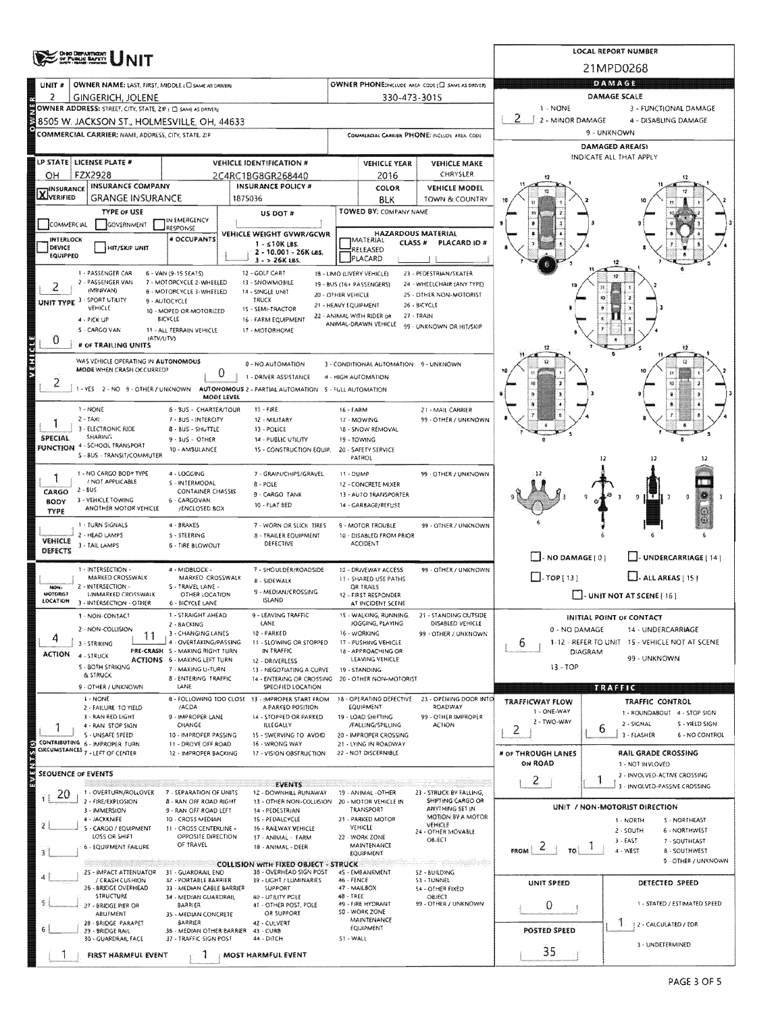|                                |                                                                         |                                                        |                                                                   |                                             |                                                   |                                                       |                                                                | <b>LOCAL REPORT NUMBER</b>                        |  |  |  |  |
|--------------------------------|-------------------------------------------------------------------------|--------------------------------------------------------|-------------------------------------------------------------------|---------------------------------------------|---------------------------------------------------|-------------------------------------------------------|----------------------------------------------------------------|---------------------------------------------------|--|--|--|--|
|                                | <b>OHO DEPARTMENT</b><br>OF PUBLIC BAPETT                               |                                                        | 21MPD0268                                                         |                                             |                                                   |                                                       |                                                                |                                                   |  |  |  |  |
| UNIT #                         | OWNER NAME: LAST, FIRST, MIDDLE (C) SAME AS DRIVERY                     |                                                        | OWNER PHONEINCLUDE AREA CODE (C) SAME AS DRIVER:                  | DAMAGE                                      |                                                   |                                                       |                                                                |                                                   |  |  |  |  |
| 2                              | <b>GINGERICH, JOLENE</b>                                                |                                                        |                                                                   |                                             | 330-473-3015                                      |                                                       |                                                                | DAMAGE SCALE                                      |  |  |  |  |
|                                | OWNER ADDRESS: STREET, CITY, STATE, ZIP ( C) SAME AS DRIVERY            |                                                        |                                                                   |                                             |                                                   |                                                       | 1 - NONE                                                       | 3 - FUNCTIONAL DAMAGE                             |  |  |  |  |
|                                | 8505 W. JACKSON ST., HOLMESVILLE, OH. 44633                             |                                                        |                                                                   |                                             |                                                   |                                                       | 2 - MINOR DAMAGE                                               | 4 - DISABLING DAMAGE                              |  |  |  |  |
|                                | COMMERCIAL CARRIER: NAME, ADDRESS, CITY, STATE, 21P                     |                                                        |                                                                   | COMMERCIAL CARRIER PHONE: INCLUDE AREA CODE |                                                   |                                                       | 9 - UNKNOWN<br>DAMAGED AREA(S)                                 |                                                   |  |  |  |  |
|                                | LP STATE   LICENSE PLATE #                                              |                                                        |                                                                   |                                             | INDICATE ALL THAT APPLY                           |                                                       |                                                                |                                                   |  |  |  |  |
| он                             | FZX2928                                                                 |                                                        | <b>VEHICLE IDENTIFICATION #</b><br>2C4RC1BG8GR268440              |                                             | <b>VEHICLE YEAR</b><br>2016                       | <b>VEHICLE MAKE</b><br>CHRYSLER                       |                                                                |                                                   |  |  |  |  |
|                                | <b>INSURANCE COMPANY</b>                                                |                                                        | <b>INSURANCE POLICY #</b>                                         |                                             | COLOR                                             | <b>VEHICLE MODEL</b>                                  |                                                                |                                                   |  |  |  |  |
| <b>X</b> I <sup>NSURANCE</sup> | <b>GRANGE INSURANCE</b>                                                 |                                                        | 1875036                                                           |                                             | <b>BLK</b>                                        | TOWN & COUNTRY                                        |                                                                |                                                   |  |  |  |  |
|                                | TYPE OF USE                                                             | IN EMERGENCY                                           | US DOT #                                                          |                                             | TOWED BY: COMPANY NAME                            |                                                       |                                                                |                                                   |  |  |  |  |
| COMMERCIAL                     | GOVERNMENT                                                              | RESPONSE                                               | VEHICLE WEIGHT GVWR/GCWR                                          |                                             | <b>HAZARDOUS MATERIAL</b>                         |                                                       |                                                                |                                                   |  |  |  |  |
| <b>INTERLOCK</b><br>DEVICE     | HIT/SKIP UNIT                                                           | # OCCUPANTS                                            | $1 - 510K$ LBS.<br>2 - 10.001 - 26K LBS.                          |                                             | MATERIAL<br>CLASS <sup>#</sup><br>RELEASED        | PLACARD ID #                                          |                                                                |                                                   |  |  |  |  |
| EQUIPPED                       |                                                                         |                                                        | $3 - 26K$ LBS.                                                    |                                             | PLACARD                                           |                                                       |                                                                |                                                   |  |  |  |  |
|                                | 1 - PASSENGER CAR<br>2 - PASSENGER VAN                                  | 6 - VAN (9-15 SEATS)<br>7 - MOTORCYCLE 2 - WHEELED     | 12 - GOLF CART<br>13 - SNOWMOBILE                                 |                                             | 18 - LIMO (LIVERY VEHICLE)                        | 23 - PEDESTRIAN/SKATER                                |                                                                |                                                   |  |  |  |  |
| 2                              | (MINIVAN)                                                               | 8 - MOTORCYCLE 3-WHEELED                               | 14 - SINGLE UNIT                                                  | 20 - OTHER VEHICLE                          | 19 - BUS (16+ PASSENGERS)                         | 24 - WHEELCHAIR (ANY TYPE)<br>25 - OTHER NON-MOTORIST |                                                                |                                                   |  |  |  |  |
| UNIT TYPE                      | 3 - SPORT UTILITY<br>VEHICLE                                            | 9 - AUTOCYCLE<br>10 - MOPED OR MOTORIZED               | TRUCK<br>15 - SEMI-TRACTOR                                        |                                             | 21 - HEAVY EQUIPMENT                              | 26 - BICYCLE                                          |                                                                |                                                   |  |  |  |  |
|                                | 4 - PICK UP                                                             | BICYCLE                                                | 16 - FARM EQUIPMENT                                               |                                             | 22 - ANIMAL WITH RIDER OR<br>ANIMAL-DRAWN VEHICLE | 27 - TRAIN<br>99 - UNKNOWN OR HIT/SKIP                |                                                                |                                                   |  |  |  |  |
| 0                              | 5 - CARGO VAN<br>(ATV/UTV)                                              | 11 - ALL TERRAIN VEHICLE                               | 17 - MOTORHOME                                                    |                                             |                                                   |                                                       |                                                                |                                                   |  |  |  |  |
|                                | # OF TRAILING UNITS                                                     |                                                        |                                                                   |                                             |                                                   |                                                       |                                                                |                                                   |  |  |  |  |
| <b>Mandal</b>                  | WAS VEHICLE OPERATING IN AUTONOMOUS<br><b>MODE WHEN CRASH OCCURRED?</b> |                                                        | 0 - NO AUTOMATION                                                 |                                             | 3 - CONDITIONAL AUTOMATION 9 - UNKNOWN            |                                                       |                                                                |                                                   |  |  |  |  |
| Ζ                              |                                                                         | 0                                                      | 1 - DRIVER ASSISTANCE                                             |                                             | 4 - HIGH AUTOMATION                               |                                                       |                                                                | 锁                                                 |  |  |  |  |
|                                | 1-YES 2-NO 9-OTHER/UNKNOWN                                              | <b>MODE LEVEL</b>                                      | AUTONOMOUS 2 - PARTIAL AUTOMATION 5 - FULL AUTOMATION             |                                             |                                                   |                                                       |                                                                |                                                   |  |  |  |  |
|                                | 1 - NONE                                                                | 6 - BUS - CHARTER/TOUR                                 | $11 - FIRE$                                                       | 16 - FARM                                   |                                                   | 21 - MAIL CARRIER                                     |                                                                |                                                   |  |  |  |  |
|                                | $2 - TAX1$<br>3 - ELECTRONIC RIDE                                       | 7 - BUS - INTERCITY<br>8 - BUS - SHUTTLE               | 12 - MILITARY<br>13 - POLICE                                      |                                             | 17 - MOWING<br>18 - SNOW REMOVAL                  | 99 - OTHER / UNKNOWN                                  |                                                                |                                                   |  |  |  |  |
| <b>SPECIAL</b>                 | <b>SHARING</b><br>4 - SCHOOL TRANSPORT                                  | 9 - BUS - OTHER                                        | 14 - PUBLIC UTILITY                                               | 19 - TOWING                                 |                                                   |                                                       |                                                                |                                                   |  |  |  |  |
| <b>FUNCTION</b>                | S - 8US - TRANSIT/COMMUTER                                              | 10 - AMBULANCE                                         | 15 - CONSTRUCTION EQUIP.                                          |                                             | 20 - SAFETY SERVICE<br>PATROL                     |                                                       |                                                                | 12                                                |  |  |  |  |
|                                | 1 - NO CARGO BODY TYPE                                                  | 4 - LOGGING                                            | 7 - GRAIN/CHIPS/GRAVEL                                            | 11 - DUMP                                   |                                                   | 99 - OTHER / UNKNOWN                                  |                                                                |                                                   |  |  |  |  |
|                                | / NOT APPLICABLE<br>2 - BUS                                             | S - INTERMODAL<br><b>CONTAINER CHASSIS</b>             | $8 - POLE$                                                        |                                             | 12 - CONCRETE MIXER                               |                                                       |                                                                |                                                   |  |  |  |  |
| CARGO<br><b>BODY</b>           | 3 - VEHICLE TOWING                                                      | 6 - CARGOVAN                                           | 9 - CARGO TANK<br>10 - FLAT BED                                   |                                             | 13 - AUTO TRANSPORTER<br>14 - GARBAGE/REFUSE      |                                                       |                                                                | ĮΤ<br>9                                           |  |  |  |  |
| TYPE                           | ANOTHER MOTOR VEHICLE                                                   | /ENCLOSED BOX                                          |                                                                   |                                             |                                                   |                                                       |                                                                |                                                   |  |  |  |  |
|                                | 1 - TURN SIGNALS<br>2 - HEAD LAMPS                                      | 4 - BRAKES<br>S - STEERING                             | 7 - WORN OR SLICK TIRES<br><b>8 - FRAILER EQUIPMENT</b>           |                                             | 9 - MOTOR TROUBLE<br>10 - DISABLED FROM PRIOR     | 99 - OTHER / UNKNOWN                                  |                                                                |                                                   |  |  |  |  |
| <b>VEHICLE</b><br>DEFECTS      | 3 - TAIL LAMPS                                                          | <b>6 - TIRE BLOWOUT</b>                                | DEFECTIVE                                                         |                                             | <b>ACCIDENT</b>                                   |                                                       |                                                                |                                                   |  |  |  |  |
|                                |                                                                         |                                                        |                                                                   |                                             |                                                   |                                                       | $\Box$ - NO DAMAGE $[0]$                                       | UNDERCARRIAGE [ 14 ]                              |  |  |  |  |
|                                | 1 - INTERSECTION -<br>MARKED CROSSWALK                                  | 4 - MIDBLOCK -<br>MARKED CROSSWALK                     | 7 - SHOULDER/ROADSIDE<br>8 - SIDEWALK                             |                                             | 10 - DRIVEWAY ACCESS<br>11 - SHARED USE PATHS     | 99 - OTHER / UNKNOWN                                  | $\Box$ -TOP[13]                                                | $L$ . ALL AREAS [15]                              |  |  |  |  |
| NON-<br><b>MOTORIST</b>        | 2 - INTERSECTION -<br><b>UNMARKED CROSSWALK</b>                         | S - TRAVEL LANE -<br>OTHER LOCATION                    | 9 - MEDIAN/CROSSING                                               |                                             | OR TRAILS<br>12 - FIRST RESPONDER                 |                                                       |                                                                | $\Box$ - UNIT NOT AT SCENE [16]                   |  |  |  |  |
| LOCATION                       | 3 - INTERSECTION - OTHER                                                | 6 - BICYCLE LANE                                       | ISLAND                                                            |                                             | AT INCIDENT SCENE                                 |                                                       |                                                                |                                                   |  |  |  |  |
|                                | 1 - NON-CONTACT                                                         | 1 - STRAIGHT AHEAD<br>2 - BACKING                      | 9 - LEAVING TRAFFIC<br>LANE                                       |                                             | 15 - WALKING, RUNNING.<br>JOGGING, PLAYING        | 21 - STANDING OUTSIDE<br>DISABLED VEHICLE             |                                                                | INITIAL POINT OF CONTACT                          |  |  |  |  |
| 4                              | 2 - NON-COLLISION<br>11                                                 | 3 - CHANGING LANES<br>4 - OVERTAKING/PASSING           | 10 - PARKED<br>11 - SLOWING OR STOPPED                            |                                             | 16 - WORKING                                      | 99 - OTHER / UNKNOWN                                  | 0 - NO DAMAGE                                                  | 14 - UNDERCARRIAGE                                |  |  |  |  |
| <b>ACTION</b>                  | 3 - STRIKING<br>4 - STRUCK                                              | PRE-CRASH S - MAKING RIGHT TURN                        | IN TRAFFIC                                                        | 17 - PUSHING VEHICLE<br>18 - APPROACHING OR |                                                   |                                                       | 1-12 - REFER TO UNIT 15 - VEHICLE NOT AT SCENE<br>6<br>DIAGRAM |                                                   |  |  |  |  |
|                                | S - BOTH STRIKING                                                       | ACTIONS 6 - MAKING LEFT TURN<br>7 - MAKING U-TURN      | 12 - DRIVERLESS<br>13 - NEGOTIATING A CURVE                       |                                             | LEAVING VEHICLE<br>19 - STANDING                  |                                                       | 13 - TOP                                                       | 99 - UNKNOWN                                      |  |  |  |  |
|                                | & STRUCK<br>9 - OTHER / UNKNOWN                                         | 8 - ENTERING TRAFFIC<br>LANE                           | 14 - ENTERING OR CROSSING<br>SPECIFIED LOCATION                   |                                             | 20 - OTHER NON-MOTORIST                           |                                                       |                                                                | TRAFIC                                            |  |  |  |  |
|                                | 1 - NONE                                                                |                                                        | 8 - FOLLOWING TOO CLOSE 13 - IMPROPER START FROM                  |                                             | 18 - OPERATING DEFECTIVE                          | 23 - OPENING DOOR INTO                                | <b>TRAFFICWAY FLOW</b>                                         | TRAFFIC CONTROL                                   |  |  |  |  |
|                                | 2 - FAILURE TO YIELD<br>3 - RAN RED LIGHT                               | /ACDA<br>9 - IMPROPER LANE                             | A PARKED POSITION<br>14 - STOPPED OR PARKED                       |                                             | EQUIPMENT<br>19 - LOAD SHIFTING                   | ROADWAY<br>99 - OTHER IMPROPER                        | 1 - ONE-WAY                                                    | 1 - ROUNDABOUT 4 - STOP SIGN                      |  |  |  |  |
|                                | 4 - RAN STOP SIGN                                                       | CHANGE                                                 | <b>ILLEGALLY</b>                                                  |                                             | /FALLING/SPILLING                                 | ACTION                                                | 2 - TWO-WAY<br>2                                               | 2 - SIGNAL<br>S - YIELD SIGN<br>6                 |  |  |  |  |
|                                | 5 - UNSAFE SPEED<br>CONTRIBUTING 6 - IMPROPER TURN                      | 10 - IMPROPER PASSING<br>11 - DROVE OFF ROAD           | 15 - SWERVING TO AVOID<br>16 - WRONG WAY                          |                                             | 20 - IMPROPER CROSSING<br>21 - LYING IN ROADWAY   |                                                       |                                                                | 3 - FLASHER<br>6 - NO CONTROL                     |  |  |  |  |
| <b>TATICS</b>                  | CIRCUMSTANCES 7 - LEFT OF CENTER                                        | 12 - IMPROPER BACKING                                  | 17 - VISION OBSTRUCTION                                           |                                             | 22 - NOT DISCERNIBLE                              |                                                       | # OF THROUGH LANES<br>ON ROAD                                  | RAIL GRADE CROSSING<br>1 - NOT INVLOVED           |  |  |  |  |
|                                | <b>SEQUENCE OF EVENTS</b>                                               |                                                        |                                                                   |                                             |                                                   |                                                       |                                                                | 2 - INVOLVED-ACTIVE CROSSING<br>4                 |  |  |  |  |
| 20                             | 1 - OVERTURN/ROLLOVER                                                   | 7 - SEPARATION OF UNITS                                | <b>EVENTS</b><br>12 - DOWNHILL RUNAWAY                            |                                             | 19 - ANIMAL -OTHER                                | 23 - STRUCK BY FALLING,                               | 2                                                              | 3 - INVOLVED-PASSIVE CROSSING                     |  |  |  |  |
|                                | 2 - FIRE/EXPLOSION<br>3 - IMMERSION                                     | <b>8 - RAN OFF ROAD RIGHT</b><br>9 - RAN OFF ROAD LEFT | 13 - OTHER NON-COLLISION 20 - MOTOR VEHICLE IN<br>14 - PEDESTRIAN |                                             | TRANSPORT                                         | SHIFTING CARGO OR<br>ANYTHING SET IN                  |                                                                | UNIT / NON-MOTORIST DIRECTION                     |  |  |  |  |
|                                | 4 - JACKKNIFE                                                           | 10 - CROSS MEDIAN                                      | <b>1S - PEDALCYCLE</b>                                            |                                             | 21 - PARKED MOTOR                                 | MOTION BY A MOTOR<br>VEHICLE                          |                                                                | 1 - NORTH<br>S - NORTHEAST                        |  |  |  |  |
|                                | S - CARGO / EQUIPMENT<br>LOSS OR SHIFT                                  | 11 - CROSS CENTERLINE -<br>OPPOSITE DIRECTION          | 16 - RAILWAY VEHICLE<br>17 - ANIMAL - FARM                        |                                             | VEHICLE<br>22 - WORK ZONE                         | 24 - OTHER MOVABLE<br>OBJECT                          |                                                                | 6 - NORTHWEST<br>2 - SOUTH<br>$3 - EAST$          |  |  |  |  |
|                                | 6 - EQUIPMENT FAILURE                                                   | OF TRAVEL                                              | 18 - ANIMAL - DEER                                                |                                             | MAINTENANCE<br><b>EQUIPMENT</b>                   |                                                       | $F_{\text{ROM}}$ $2 \div$<br>$70^{\circ}$                      | 7 - SOUTHEAST<br>4 - WEST<br><b>8 - SOUTHWEST</b> |  |  |  |  |
|                                |                                                                         |                                                        | <b>COLLISION WITH FIXED OBJECT - STRUCK</b>                       |                                             |                                                   | ilin bilinin yan                                      |                                                                | 9 - OTHER / UNKNOWN                               |  |  |  |  |
|                                | 25 - IMPACT ATTENUATOR<br>/ CRASH CUSHION                               | 31 - GUARDRAIL END<br>32 - PORTABLE BARRIER            | 38 - OVERHEAD SIGN POST<br>39 - LIGHT / LUMINARIES                | 46 - FENCE                                  | 45 - EMBANKMENT                                   | S2 - BUILDING<br>53 - TUNNEL                          | UNIT SPEED                                                     | DETECTED SPEED                                    |  |  |  |  |
|                                | 26 - BRIDGE OVERHEAD<br><b>STRUCTURE</b>                                | 33 - MEDIAN CABLE BARRIER<br>34 - MEDIAN GUARDRAIL     | SUPPORT<br>40 - UTILITY POLE                                      | 48 - TREE                                   | 47 - MAILBOX                                      | <b>S4 - OTHER FIXED</b><br>OBJECT                     |                                                                |                                                   |  |  |  |  |
|                                | 27 - BRIDGE PIER OR<br>ABUTMENT                                         | <b>BARRIER</b><br>35 - MEDIAN CONCRETE                 | 41 - OTHER POST, POLE<br>OR SUPPORT                               |                                             | 49 - FIRE HYDRANT<br>50 - WORK ZONE               | 99 - OTHER / UNKNOWN                                  | 0                                                              | 1 - STATED / ESTIMATED SPEED                      |  |  |  |  |
|                                | 28 - BRIDGE PARAPET                                                     | BARRIER                                                | 42 - CULVERT                                                      |                                             | MAINTENANCE<br>EQUIPMENT                          |                                                       |                                                                | Ί.<br><b>12 - CALCULATED / EDR</b>                |  |  |  |  |
|                                | 29 - BRIDGE RAIL<br>30 - GUARDRAIL FACE                                 | 36 - MEDIAN OTHER BARRIER<br>37 - TRAFFIC SIGN POST    | 43 - CURB<br>44 - DITCH                                           | $51 - WALL$                                 |                                                   |                                                       | <b>POSTED SPEED</b>                                            |                                                   |  |  |  |  |
|                                | FIRST HARMFUL EVENT                                                     |                                                        | MOST HARMFUL EVENT                                                |                                             |                                                   |                                                       | 35                                                             | 3 - UNDETERMINED                                  |  |  |  |  |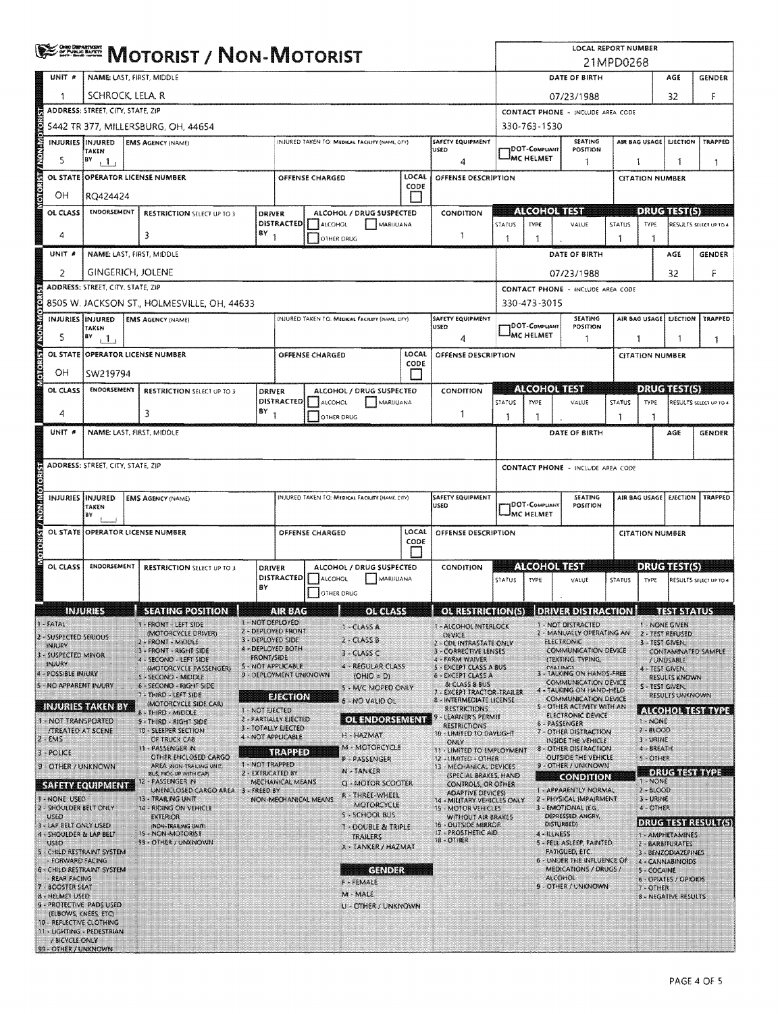|                              |                                    | <b>ENDING MOTORIST / NON-MOTORIST</b>             |                                                                        |                   |                                                             |                 |                                                 |               |                                                                                             |                                                                                    | <b>LOCAL REPORT NUMBER</b><br>21MPD0268 |                                                                  |               |                                         |                                         |                               |  |  |
|------------------------------|------------------------------------|---------------------------------------------------|------------------------------------------------------------------------|-------------------|-------------------------------------------------------------|-----------------|-------------------------------------------------|---------------|---------------------------------------------------------------------------------------------|------------------------------------------------------------------------------------|-----------------------------------------|------------------------------------------------------------------|---------------|-----------------------------------------|-----------------------------------------|-------------------------------|--|--|
|                              | UNIT #                             | NAME: LAST, FIRST, MIDDLE                         |                                                                        |                   |                                                             |                 |                                                 |               |                                                                                             |                                                                                    |                                         | DATE OF BIRTH<br>AGE<br><b>GENDER</b>                            |               |                                         |                                         |                               |  |  |
|                              | 1                                  | SCHROCK, LELA, R                                  |                                                                        |                   |                                                             |                 |                                                 |               |                                                                                             |                                                                                    |                                         | 32<br>F<br>07/23/1988                                            |               |                                         |                                         |                               |  |  |
| E                            |                                    | ADDRESS: STREET, CITY, STATE, ZIP                 |                                                                        |                   |                                                             |                 |                                                 |               |                                                                                             |                                                                                    |                                         | CONTACT PHONE - INCLUDE AREA CODE                                |               |                                         |                                         |                               |  |  |
|                              |                                    |                                                   | 5442 TR 377, MILLERSBURG, OH, 44654                                    | 330-763-1530      |                                                             |                 |                                                 |               |                                                                                             |                                                                                    |                                         |                                                                  |               |                                         |                                         |                               |  |  |
|                              |                                    | INJURIES INJURED<br>TAKEN                         | <b>EMS AGENCY (NAME)</b>                                               |                   |                                                             |                 | INJURED TAKEN TO: MEDICAL FACILITY (NAME, CITY) |               | SAFETY EQUIPMENT<br><b>JDOT-COMPLIANT</b><br>luseo.                                         |                                                                                    |                                         | SEATING<br>POSITION                                              |               |                                         | AIR BAG USAGE   EJECTION                | <b>TRAPPED</b>                |  |  |
|                              | 5                                  | $ ^{BV}$ $\Box$                                   |                                                                        |                   |                                                             |                 |                                                 |               | 4                                                                                           |                                                                                    | <sup>J</sup> MC HELMET                  | 1                                                                |               | 1                                       | 1                                       | 1                             |  |  |
| <b>Stophyraw Incidence</b>   |                                    |                                                   | OL STATE OPERATOR LICENSE NUMBER                                       |                   |                                                             | OFFENSE CHARGED |                                                 | LOCAL<br>CODE | OFFENSE DESCRIPTION                                                                         |                                                                                    |                                         |                                                                  |               | <b>CITATION NUMBER</b>                  |                                         |                               |  |  |
|                              | OН                                 | RQ424424                                          |                                                                        |                   |                                                             |                 |                                                 | $\mathbf{1}$  |                                                                                             |                                                                                    |                                         |                                                                  |               |                                         |                                         |                               |  |  |
|                              | OL CLASS                           | <b>ENDORSEMENT</b>                                | <b>RESTRICTION SELECT UP TO 3</b>                                      | <b>DRIVER</b>     | <b>DISTRACTED</b>                                           | ALCOHOL         | ALCOHOL / DRUG SUSPECTED<br>MARUUANA            |               | CONDITION                                                                                   | STATUS                                                                             | <b>TYPE</b>                             | <b>ALCOHOL TEST</b><br>VALUE                                     | STATUS        | TYPE.                                   | <b>DRUG TEST(S)</b>                     | RESULTS SELECT UP TO 4        |  |  |
|                              | 4                                  |                                                   | 3                                                                      | $BY$ <sub>1</sub> | OTHER DRUG                                                  |                 |                                                 |               | -1                                                                                          | -1                                                                                 | 1                                       |                                                                  | 1             | 1                                       |                                         |                               |  |  |
|                              | UNIT #                             | NAME: LAST, FIRST, MIDDLE                         |                                                                        |                   |                                                             |                 |                                                 |               |                                                                                             |                                                                                    |                                         | DATE OF BIRTH                                                    |               |                                         | AGE                                     | <b>GENDER</b>                 |  |  |
|                              | $\overline{2}$                     | <b>GINGERICH, JOLENE</b>                          |                                                                        |                   |                                                             |                 |                                                 |               |                                                                                             |                                                                                    |                                         | 07/23/1988                                                       |               |                                         | 32                                      | F                             |  |  |
|                              |                                    | ADDRESS: STREET. CITY, STATE, ZIP                 |                                                                        |                   |                                                             |                 |                                                 |               |                                                                                             |                                                                                    |                                         | <b>CONTACT PHONE - INCLUDE AREA CODE</b>                         |               |                                         |                                         |                               |  |  |
| <b>OTORST/MONSMOTOR</b>      |                                    |                                                   | 8505 W. JACKSON ST., HOLMESVILLE, OH, 44633                            |                   |                                                             |                 |                                                 |               |                                                                                             |                                                                                    | 330-473-3015                            |                                                                  |               |                                         |                                         |                               |  |  |
|                              |                                    | INJURIES INJURED<br>TAKEN                         | <b>EMS AGENCY (NAME)</b>                                               |                   |                                                             |                 | INJURED TAKEN TO: MEDICAL FACILITY (NAME, CITY) |               | SAFETY EQUIPMENT<br><b>USED</b>                                                             |                                                                                    | <b>DOT-COMPLIANT</b>                    | SEATING<br>POSITION                                              |               |                                         | AIR BAG USAGE EUECTION                  | TRAPPED                       |  |  |
|                              | 5                                  | $  \mathbf{B} \mathbf{v}  $                       |                                                                        |                   |                                                             |                 |                                                 |               | 4                                                                                           |                                                                                    | <b>MC HELMET</b>                        | -1                                                               |               | 1                                       |                                         | 1                             |  |  |
|                              |                                    |                                                   | OL STATE OPERATOR LICENSE NUMBER                                       |                   |                                                             | OFFENSE CHARGED |                                                 | LOCAL<br>CODE | <b>OFFENSE DESCRIPTION</b>                                                                  |                                                                                    |                                         |                                                                  |               | <b>CITATION NUMBER</b>                  |                                         |                               |  |  |
|                              | OН                                 | SW219794                                          |                                                                        |                   |                                                             |                 |                                                 |               |                                                                                             |                                                                                    |                                         |                                                                  |               |                                         |                                         |                               |  |  |
|                              | OL CLASS                           | ENDORSEMENT                                       | <b>RESTRICTION SELECT UP TO 3</b>                                      | <b>DRIVER</b>     | DISTRACTED                                                  | ALCOHOL         | ALCOHOL / DRUG SUSPECTED<br>MARUUANA            |               | CONDITION                                                                                   | STATUS                                                                             | <b>TYPE</b>                             | (100)(0)(117)<br>VALUE                                           | <b>STATUS</b> | TYPE                                    | <b>DRUGHEMS</b>                         | RESULTS SELECT UP TO 4        |  |  |
|                              | 4                                  |                                                   | 3                                                                      | $BY$ <sub>1</sub> |                                                             | OTHER DRUG      |                                                 |               | -1                                                                                          | -1                                                                                 | 1                                       |                                                                  | 1             | -1                                      |                                         |                               |  |  |
|                              | UNIT #                             | NAME: LAST, FIRST, MIDDLE                         |                                                                        |                   |                                                             |                 |                                                 |               |                                                                                             |                                                                                    |                                         | DATE OF BIRTH                                                    |               |                                         | AGE                                     | <b>GENDER</b>                 |  |  |
|                              |                                    |                                                   |                                                                        |                   |                                                             |                 |                                                 |               |                                                                                             |                                                                                    |                                         |                                                                  |               |                                         |                                         |                               |  |  |
|                              |                                    | ADORESS: STREET, CITY, STATE, ZIP                 |                                                                        |                   |                                                             |                 |                                                 |               |                                                                                             |                                                                                    |                                         | CONTACT PHONE - INCLUDE AREA CODE                                |               |                                         |                                         |                               |  |  |
|                              |                                    |                                                   |                                                                        |                   |                                                             |                 |                                                 |               |                                                                                             |                                                                                    |                                         |                                                                  |               |                                         |                                         |                               |  |  |
|                              |                                    | INJURIES IINJURED<br>TAKEN                        | <b>EMS AGENCY (NAME)</b>                                               |                   |                                                             |                 | INJURED TAKEN TO: MEDICAL FACILITY (NAME CITY)  |               | <b>SAFETY EQUIPMENT</b><br>USED                                                             | AIR BAG USAGE   EJECTION   TRAPPED<br>SEATING<br><b>JDOT-COMPLIANT</b><br>POSITION |                                         |                                                                  |               |                                         |                                         |                               |  |  |
|                              |                                    | B٧                                                |                                                                        |                   |                                                             |                 |                                                 |               |                                                                                             | MC HELMET                                                                          |                                         |                                                                  |               |                                         |                                         |                               |  |  |
| <b>TORIST / NONLMOTORIST</b> |                                    |                                                   | OL STATE OPERATOR LICENSE NUMBER                                       |                   | LOCAL<br>OFFENSE CHARGED<br>OFFENSE DESCRIPTION<br>CODE     |                 |                                                 |               |                                                                                             | <b>CITATION NUMBER</b>                                                             |                                         |                                                                  |               |                                         |                                         |                               |  |  |
|                              | OL CLASS                           | <b>ENDORSEMENT</b>                                | <b>RESTRICTION SELECT UP TO 3</b>                                      |                   | ALCOHOL / DRUG SUSPECTED<br>DRIVER                          |                 |                                                 |               | CONDITION                                                                                   |                                                                                    |                                         | Algo Follo IST                                                   |               | <b>DRUGTISTIS</b>                       |                                         |                               |  |  |
|                              |                                    |                                                   |                                                                        |                   | <b>DISTRACTED</b>                                           | ALCOHOL         | MARIJUANA                                       |               |                                                                                             | STATUS                                                                             | <b>TYPE</b>                             | VALUE                                                            | STATUS        | TYPE                                    |                                         | <b>RESULTS SELECT UP TO 4</b> |  |  |
|                              |                                    |                                                   |                                                                        | BY                |                                                             | OTHER DRUG      |                                                 |               |                                                                                             |                                                                                    |                                         |                                                                  |               |                                         |                                         |                               |  |  |
|                              |                                    | <b>INJURIES</b>                                   | <b>ESEATING POSITION.</b>                                              |                   | <b>Million State</b>                                        | 89              | <b>GIRGERY</b>                                  |               | $\Box$ of restriction(s) DRIVER DISTRACTION $\Box$ Test status                              |                                                                                    |                                         |                                                                  |               |                                         |                                         |                               |  |  |
| 1 - FATAL                    |                                    | 2 - SUSPECTED SERIOUS                             | 1 - FRONT - LEFT SIDE<br>(MOTORCYCLE DRIVER)                           |                   | 1 - NOT DEPLOYED<br>2 - DEPLOYED FRONT<br>3 - DEPLOYED SIDE |                 | <b>1 - CLASS A</b><br>2. ClassB                 |               | 1 - ALCOHOL INTERLOCK<br><b>DEVICE</b>                                                      |                                                                                    |                                         | 1 - NOT DISTRACTED<br>2 - MANUALLY OPERATING AN                  |               |                                         | 1 NONE GIVEN<br>2 - TEST REFUSED        |                               |  |  |
| INRJRY                       | 3 - SUSPECTED MINOR                |                                                   | 2 - FRONT - MIDDLE<br>3 - FRONT - RIGHT SIDE                           | <b>FRONT/SIDE</b> | 4 - DEPLOYED BOTH                                           |                 | $3 - CLASSC$                                    |               | 2 - CDL INTRASTATE ONLY<br>3 - CORRECTIVE LENSES                                            |                                                                                    |                                         | <b>ELECTRONIC</b><br>COMMUNICATION DEVICE                        |               |                                         | 3 - TEST GIVEN.                         | CONTAMINATED SAMPLE           |  |  |
| INJURY                       | - POSSIBLE INJURY                  |                                                   | 4 - SECOND - LEFT SIDE<br>(MOTORCYCLE PASSENGER)                       |                   | S-NOT APPLICABLE<br>9 - DEPLOYMENT UNKNOWN                  |                 | 4 - REGULAR CLASS                               |               | 4 - FARM WAIVER<br><b>5 - EXCEPT CLASS A BUS</b><br>6 - EXCEPT CLASS A                      |                                                                                    |                                         | (TEXTING, TYPING,<br><b>CHATING</b><br>3 - TALKING ON HANDS-FREE |               |                                         | / UNUSABLE<br>4 - TEST GIVEN,           |                               |  |  |
|                              |                                    | <b>S - NO APPARENT INJURY</b>                     | S - SECOND - MIDDLE<br>6 - SECOND - RIGHT SIDE                         |                   |                                                             |                 | $(OHIO = D)$<br>5 - M/C MOPED ONLY              |               | & CLASS 8 BUS<br>7 - EXCEPT TRACTOR-TRAILER                                                 |                                                                                    |                                         | COMMUNICATION DEVICE<br>4 - TALKING ON HAND-HELD                 |               |                                         | RESULTS KNOWN<br>S - TEST GIVEN.        |                               |  |  |
|                              |                                    | <b>INJURIES TAKEN BY</b>                          | 7 - THIRD - LEFT SIDE<br>(MOTORCYCLE SIDE CAR):                        | 1 - NOT EJECTED   | <b>EJECTION</b>                                             |                 | 6 NO VALID OL                                   |               | 8 - INTERMEDIATE LICENSE<br><b>RESTRICTIONS</b>                                             |                                                                                    |                                         | <b>COMMUNICATION DEVICE</b><br>S - OTHER ACTIVITY WITH AN        |               |                                         | RESULTS UNKNOWN                         | <b>ALCOHOL TEST TYPE</b>      |  |  |
|                              |                                    | 1 - NOT TRANSPORTED                               | 8 - THIRD - MIDDLE<br>9 - THIRD - RIGHT SIDE                           |                   | 2 - PARTIALLY EJECTED<br>3 - TOTALLY EJECTED                |                 | <b>OL ENDORSEMENT</b>                           |               | - LEARNER'S PERMIT<br><b>RESTRICTIONS</b>                                                   |                                                                                    |                                         | ELECTRONIC DEVICE<br>6 - PASSENGER                               |               | <b>3 - NONE</b>                         |                                         |                               |  |  |
| $2 - EMS$                    |                                    | <b><i>ITREATED AT SCENE</i></b>                   | 10 - SLEEPER SECTION<br>OF TRUCK CAB                                   |                   | 4 - NOT APPLICABLE                                          |                 | H - HAZMAT<br>M - MOTORCYCLE                    |               | 10 - LIMITED TO DAYLIGHT<br>ONLY                                                            |                                                                                    |                                         | 7 - OTHER DISTRACTION<br>INSIDE THE VEHICLE                      |               | $2 - 81000$<br>3 - URINE                |                                         |                               |  |  |
| $3 - \text{POLICE}$          |                                    |                                                   | 11 - PASSENGER IN<br>OTHER ENCLOSED CARGO                              | 1 - NOT TRAPPED   | <b>TRAPPED</b>                                              |                 | P-PASSENGER                                     |               | 11 - LIMITED TO EMPLOYMENT<br>12 - LIMITED - OTHER                                          |                                                                                    |                                         | 8 - OTHER DISTRACTION<br><b>OUTSIDE THE VEHICLE</b>              |               | 4 - BREATH<br><b>S-OTHER</b>            |                                         |                               |  |  |
|                              |                                    | 9 - OTHER / UNKNOWN                               | AREA INON-TRAILING UNIT,<br>BUS, PKK-UP WITH CAPI<br>12 - PASSENGER IN |                   | 2 - EXTRICATED BY<br>MECHANICAL MEANS                       |                 | N-TANKER<br>Q - MOTOR SCOOTER                   |               | 13 - MECHANICAL DEVICES<br>(SPECIAL BRAKES, HAND                                            |                                                                                    |                                         | 9 - OTHER / UNKNOWN<br><b>CONDITION</b>                          |               |                                         | <b>DRUGHEST NAPF</b>                    |                               |  |  |
|                              | - NONE USED                        | <b>SAFETY EQUIPMENT</b>                           | UNENCLOSED CARGO AREA 3 - FREED BY<br><b>13 - TRAILING UNIT</b>        |                   | NON-MECHANICAL MEANS                                        |                 | R-THREE-WHEEL                                   |               | <b>CONTROLS, OR OTHER</b><br><b>ADAPTIVE DEVICES)</b><br><b>14 - MILITARY VEHICLES ONLY</b> |                                                                                    |                                         | 1 - APPARENTLY NORMAL<br>2 - PHYSICAL IMPAIRMENT                 |               | $1 - NONE$<br>$2 - B$ LOOD<br>3 - URINE |                                         |                               |  |  |
| USEO                         |                                    | 2 - SHOULDER BELT ONLY                            | 14 - RIDING ON VEHICLE<br><b>EXTERIOR</b>                              |                   |                                                             |                 | MOTORCYCLE<br>S - SCHOOL BUS                    |               | <b>15 - MOTOR VEHICLES</b><br>WITHOUT AIR BRAKES                                            |                                                                                    |                                         | 3 - EMOTIONAL (E.G.<br><b>DEPRESSED, ANGRY,</b>                  |               | 4 - OTHER                               |                                         |                               |  |  |
|                              |                                    | 3 - LAP BELT ONLY USED<br>4 - SHOULDER & LAP BELT | (NON-TRAILING UNIT)<br>15 - NON-MOTORIST                               |                   |                                                             |                 | <b>T - DOUBLE &amp; TRIPLE</b><br>TRAILERS      |               | 16 - OUTSIDE MIRROR<br>17 - PROSTHETIC AID                                                  |                                                                                    |                                         | DISTURBED)<br>4 - ILLINESS                                       |               |                                         | 1 - AMPHETAMINES                        | DRUG TEST RESULT(S)           |  |  |
| USED                         |                                    | 5 - CHILD RESTRAINT SYSTEM                        | 99 - OTHER / UNXNOWN                                                   |                   |                                                             |                 | X - TANKER / HAZMAT                             |               | 18 - OTHER                                                                                  |                                                                                    |                                         | 5 - FELL ASLEEP, FAINTED,<br>FATIGUED, ETC.                      |               |                                         | 2 - BARBITURATES<br>3 - BENZODIAZEPINES |                               |  |  |
|                              | FORWARD FACING                     | 6 - CHILO RESTRAINT SYSTEM                        |                                                                        |                   |                                                             |                 | <b>GENDER</b>                                   |               |                                                                                             |                                                                                    |                                         | 6 - UNDER THE INFLUENCE OF<br>MEDICATIONS / DRUGS /              |               | 5 - COCAINE                             | 4 - CANNABINOIDS                        |                               |  |  |
| 17                           | REAR FACING<br><b>BOOSTER SEAT</b> |                                                   |                                                                        |                   |                                                             |                 | F - FEMALE                                      |               |                                                                                             |                                                                                    |                                         | ALCOHOL<br>9 - OTHER / UNKNOWN                                   |               | $7 - QTHER$                             | 6 - OPIATES / OPIOIDS                   |                               |  |  |
|                              | <b>B - HELMET USED</b>             | 9 - PROTECTIVE PADS USED                          |                                                                        |                   |                                                             |                 | M-MALE<br>U - OTHER / UNKNOWN                   |               |                                                                                             |                                                                                    |                                         |                                                                  |               |                                         | <b>B-NEGATIVE RESULTS</b>               |                               |  |  |
|                              |                                    | (ELBOWS, KNEES, ETC)<br>10 - REFLECTIVE CLOTHING  |                                                                        |                   |                                                             |                 |                                                 |               |                                                                                             |                                                                                    |                                         |                                                                  |               |                                         |                                         |                               |  |  |
|                              | / BICYCLE ONLY                     | 11 - LIGHTING - PEDESTRIAN                        |                                                                        |                   |                                                             |                 |                                                 |               |                                                                                             |                                                                                    |                                         |                                                                  |               |                                         |                                         |                               |  |  |
|                              |                                    | 99 - OTHER / UNKNOWN                              |                                                                        |                   |                                                             |                 |                                                 |               |                                                                                             |                                                                                    |                                         |                                                                  |               |                                         |                                         |                               |  |  |